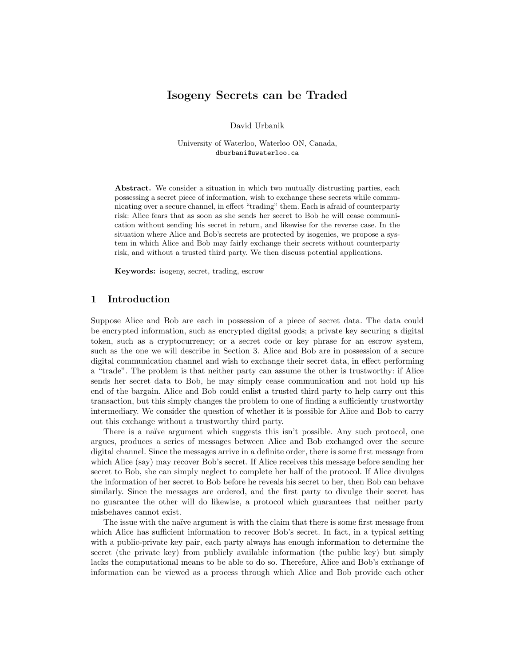# Isogeny Secrets can be Traded

David Urbanik

University of Waterloo, Waterloo ON, Canada, dburbani@uwaterloo.ca

Abstract. We consider a situation in which two mutually distrusting parties, each possessing a secret piece of information, wish to exchange these secrets while communicating over a secure channel, in effect "trading" them. Each is afraid of counterparty risk: Alice fears that as soon as she sends her secret to Bob he will cease communication without sending his secret in return, and likewise for the reverse case. In the situation where Alice and Bob's secrets are protected by isogenies, we propose a system in which Alice and Bob may fairly exchange their secrets without counterparty risk, and without a trusted third party. We then discuss potential applications.

Keywords: isogeny, secret, trading, escrow

## 1 Introduction

Suppose Alice and Bob are each in possession of a piece of secret data. The data could be encrypted information, such as encrypted digital goods; a private key securing a digital token, such as a cryptocurrency; or a secret code or key phrase for an escrow system, such as the one we will describe in Section 3. Alice and Bob are in possession of a secure digital communication channel and wish to exchange their secret data, in effect performing a "trade". The problem is that neither party can assume the other is trustworthy: if Alice sends her secret data to Bob, he may simply cease communication and not hold up his end of the bargain. Alice and Bob could enlist a trusted third party to help carry out this transaction, but this simply changes the problem to one of finding a sufficiently trustworthy intermediary. We consider the question of whether it is possible for Alice and Bob to carry out this exchange without a trustworthy third party.

There is a naïve argument which suggests this isn't possible. Any such protocol, one argues, produces a series of messages between Alice and Bob exchanged over the secure digital channel. Since the messages arrive in a definite order, there is some first message from which Alice (say) may recover Bob's secret. If Alice receives this message before sending her secret to Bob, she can simply neglect to complete her half of the protocol. If Alice divulges the information of her secret to Bob before he reveals his secret to her, then Bob can behave similarly. Since the messages are ordered, and the first party to divulge their secret has no guarantee the other will do likewise, a protocol which guarantees that neither party misbehaves cannot exist.

The issue with the naïve argument is with the claim that there is some first message from which Alice has sufficient information to recover Bob's secret. In fact, in a typical setting with a public-private key pair, each party always has enough information to determine the secret (the private key) from publicly available information (the public key) but simply lacks the computational means to be able to do so. Therefore, Alice and Bob's exchange of information can be viewed as a process through which Alice and Bob provide each other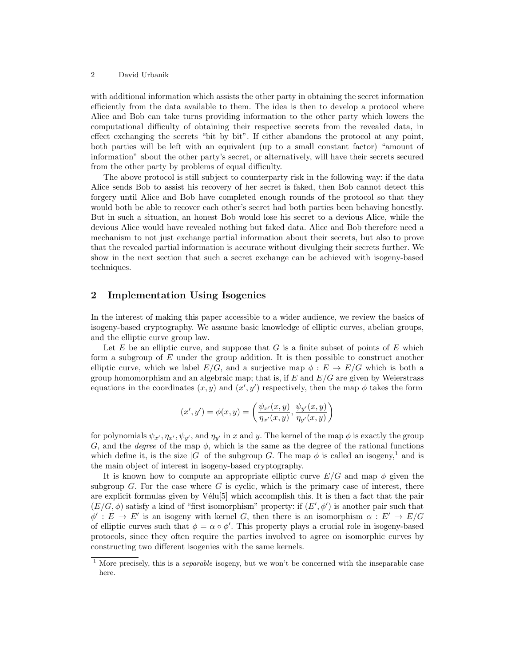#### 2 David Urbanik

with additional information which assists the other party in obtaining the secret information efficiently from the data available to them. The idea is then to develop a protocol where Alice and Bob can take turns providing information to the other party which lowers the computational difficulty of obtaining their respective secrets from the revealed data, in effect exchanging the secrets "bit by bit". If either abandons the protocol at any point, both parties will be left with an equivalent (up to a small constant factor) "amount of information" about the other party's secret, or alternatively, will have their secrets secured from the other party by problems of equal difficulty.

The above protocol is still subject to counterparty risk in the following way: if the data Alice sends Bob to assist his recovery of her secret is faked, then Bob cannot detect this forgery until Alice and Bob have completed enough rounds of the protocol so that they would both be able to recover each other's secret had both parties been behaving honestly. But in such a situation, an honest Bob would lose his secret to a devious Alice, while the devious Alice would have revealed nothing but faked data. Alice and Bob therefore need a mechanism to not just exchange partial information about their secrets, but also to prove that the revealed partial information is accurate without divulging their secrets further. We show in the next section that such a secret exchange can be achieved with isogeny-based techniques.

## 2 Implementation Using Isogenies

In the interest of making this paper accessible to a wider audience, we review the basics of isogeny-based cryptography. We assume basic knowledge of elliptic curves, abelian groups, and the elliptic curve group law.

Let  $E$  be an elliptic curve, and suppose that  $G$  is a finite subset of points of  $E$  which form a subgroup of  $E$  under the group addition. It is then possible to construct another elliptic curve, which we label  $E/G$ , and a surjective map  $\phi : E \to E/G$  which is both a group homomorphism and an algebraic map; that is, if  $E$  and  $E/G$  are given by Weierstrass equations in the coordinates  $(x, y)$  and  $(x', y')$  respectively, then the map  $\phi$  takes the form

$$
(x', y') = \phi(x, y) = \left(\frac{\psi_{x'}(x, y)}{\eta_{x'}(x, y)}, \frac{\psi_{y'}(x, y)}{\eta_{y'}(x, y)}\right)
$$

for polynomials  $\psi_{x'}, \eta_{x'}, \psi_{y'}$ , and  $\eta_{y'}$  in x and y. The kernel of the map  $\phi$  is exactly the group G, and the *degree* of the map  $\phi$ , which is the same as the degree of the rational functions which define it, is the size |G| of the subgroup G. The map  $\phi$  is called an isogeny,<sup>1</sup> and is the main object of interest in isogeny-based cryptography.

It is known how to compute an appropriate elliptic curve  $E/G$  and map  $\phi$  given the subgroup  $G$ . For the case where  $G$  is cyclic, which is the primary case of interest, there are explicit formulas given by  $V\acute{e}l\mathrm{u}[5]$  which accomplish this. It is then a fact that the pair  $(E/G, \phi)$  satisfy a kind of "first isomorphism" property: if  $(E', \phi')$  is another pair such that  $\phi' : E \to E'$  is an isogeny with kernel G, then there is an isomorphism  $\alpha : E' \to E/G$ of elliptic curves such that  $\phi = \alpha \circ \phi'$ . This property plays a crucial role in isogeny-based protocols, since they often require the parties involved to agree on isomorphic curves by constructing two different isogenies with the same kernels.

<sup>&</sup>lt;sup>1</sup> More precisely, this is a *separable* isogeny, but we won't be concerned with the inseparable case here.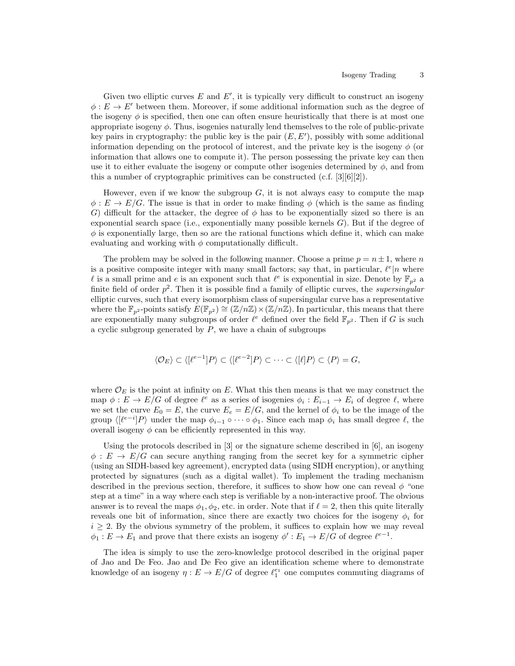Given two elliptic curves  $E$  and  $E'$ , it is typically very difficult to construct an isogeny  $\phi: E \to E'$  between them. Moreover, if some additional information such as the degree of the isogeny  $\phi$  is specified, then one can often ensure heuristically that there is at most one appropriate isogeny  $\phi$ . Thus, isogenies naturally lend themselves to the role of public-private key pairs in cryptography: the public key is the pair  $(E, E')$ , possibly with some additional information depending on the protocol of interest, and the private key is the isogeny  $\phi$  (or information that allows one to compute it). The person possessing the private key can then use it to either evaluate the isogeny or compute other isogenies determined by  $\phi$ , and from this a number of cryptographic primitives can be constructed  $(c.f. [3][6][2])$ .

However, even if we know the subgroup  $G$ , it is not always easy to compute the map  $\phi: E \to E/G$ . The issue is that in order to make finding  $\phi$  (which is the same as finding G) difficult for the attacker, the degree of  $\phi$  has to be exponentially sized so there is an exponential search space (i.e., exponentially many possible kernels  $G$ ). But if the degree of  $\phi$  is exponentially large, then so are the rational functions which define it, which can make evaluating and working with  $\phi$  computationally difficult.

The problem may be solved in the following manner. Choose a prime  $p = n \pm 1$ , where n is a positive composite integer with many small factors; say that, in particular,  $\ell^e|n$  where l is a small prime and e is an exponent such that  $\ell^e$  is exponential in size. Denote by  $\mathbb{F}_{p^2}$  a finite field of order  $p^2$ . Then it is possible find a family of elliptic curves, the *supersingular* elliptic curves, such that every isomorphism class of supersingular curve has a representative where the  $\mathbb{F}_{p^2}$ -points satisfy  $E(\mathbb{F}_{p^2}) \cong (\mathbb{Z}/n\mathbb{Z}) \times (\mathbb{Z}/n\mathbb{Z})$ . In particular, this means that there are exponentially many subgroups of order  $\ell^e$  defined over the field  $\mathbb{F}_{p^2}$ . Then if G is such a cyclic subgroup generated by  $P$ , we have a chain of subgroups

$$
\langle \mathcal{O}_E \rangle \subset \langle [\ell^{e-1}]P \rangle \subset \langle [\ell^{e-2}]P \rangle \subset \cdots \subset \langle [\ell]P \rangle \subset \langle P \rangle = G,
$$

where  $\mathcal{O}_E$  is the point at infinity on E. What this then means is that we may construct the map  $\phi: E \to E/G$  of degree  $\ell^e$  as a series of isogenies  $\phi_i: E_{i-1} \to E_i$  of degree  $\ell$ , where we set the curve  $E_0 = E$ , the curve  $E_e = E/G$ , and the kernel of  $\phi_i$  to be the image of the group  $\langle[\ell^{e-i}]P\rangle$  under the map  $\phi_{i-1} \circ \cdots \circ \phi_1$ . Since each map  $\phi_i$  has small degree  $\ell$ , the overall isogeny  $\phi$  can be efficiently represented in this way.

Using the protocols described in [3] or the signature scheme described in [6], an isogeny  $\phi: E \to E/G$  can secure anything ranging from the secret key for a symmetric cipher (using an SIDH-based key agreement), encrypted data (using SIDH encryption), or anything protected by signatures (such as a digital wallet). To implement the trading mechanism described in the previous section, therefore, it suffices to show how one can reveal  $\phi$  "one step at a time" in a way where each step is verifiable by a non-interactive proof. The obvious answer is to reveal the maps  $\phi_1, \phi_2$ , etc. in order. Note that if  $\ell = 2$ , then this quite literally reveals one bit of information, since there are exactly two choices for the isogeny  $\phi_i$  for  $i \geq 2$ . By the obvious symmetry of the problem, it suffices to explain how we may reveal  $\phi_1: E \to E_1$  and prove that there exists an isogeny  $\phi': E_1 \to E/G$  of degree  $\ell^{e-1}$ .

The idea is simply to use the zero-knowledge protocol described in the original paper of Jao and De Feo. Jao and De Feo give an identification scheme where to demonstrate knowledge of an isogeny  $\eta: E \to E/G$  of degree  $\ell_1^{e_1}$  one computes commuting diagrams of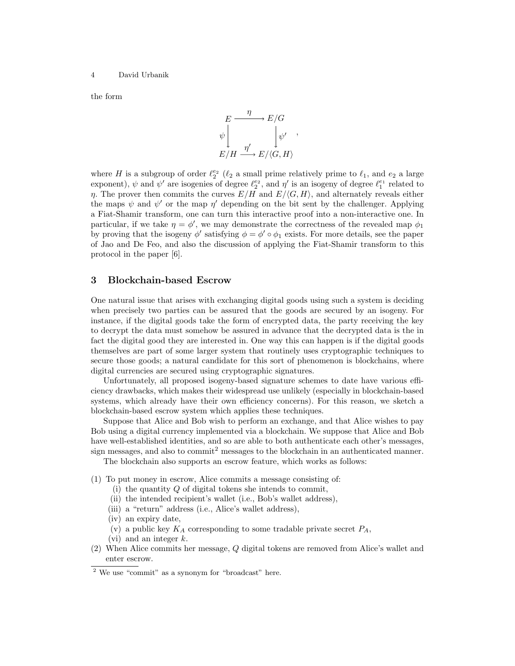#### 4 David Urbanik

the form

$$
E \xrightarrow{\eta} E/G
$$
  
\n
$$
\psi \downarrow^{\eta} \qquad \downarrow \psi'
$$
  
\n
$$
E/H \xrightarrow{\eta'} E/\langle G, H \rangle
$$

where H is a subgroup of order  $\ell_2^{e_2}$  ( $\ell_2$  a small prime relatively prime to  $\ell_1$ , and  $e_2$  a large exponent),  $\psi$  and  $\psi'$  are isogenies of degree  $\ell_2^{e_2}$ , and  $\eta'$  is an isogeny of degree  $\ell_1^{e_1}$  related to  $\eta$ . The prover then commits the curves  $E/H$  and  $E/\langle G, H \rangle$ , and alternately reveals either the maps  $\psi$  and  $\psi'$  or the map  $\eta'$  depending on the bit sent by the challenger. Applying a Fiat-Shamir transform, one can turn this interactive proof into a non-interactive one. In particular, if we take  $\eta = \phi'$ , we may demonstrate the correctness of the revealed map  $\phi_1$ by proving that the isogeny  $\phi'$  satisfying  $\phi = \phi' \circ \phi_1$  exists. For more details, see the paper of Jao and De Feo, and also the discussion of applying the Fiat-Shamir transform to this protocol in the paper [6].

### 3 Blockchain-based Escrow

One natural issue that arises with exchanging digital goods using such a system is deciding when precisely two parties can be assured that the goods are secured by an isogeny. For instance, if the digital goods take the form of encrypted data, the party receiving the key to decrypt the data must somehow be assured in advance that the decrypted data is the in fact the digital good they are interested in. One way this can happen is if the digital goods themselves are part of some larger system that routinely uses cryptographic techniques to secure those goods; a natural candidate for this sort of phenomenon is blockchains, where digital currencies are secured using cryptographic signatures.

Unfortunately, all proposed isogeny-based signature schemes to date have various efficiency drawbacks, which makes their widespread use unlikely (especially in blockchain-based systems, which already have their own efficiency concerns). For this reason, we sketch a blockchain-based escrow system which applies these techniques.

Suppose that Alice and Bob wish to perform an exchange, and that Alice wishes to pay Bob using a digital currency implemented via a blockchain. We suppose that Alice and Bob have well-established identities, and so are able to both authenticate each other's messages, sign messages, and also to commit<sup>2</sup> messages to the blockchain in an authenticated manner.

The blockchain also supports an escrow feature, which works as follows:

- (1) To put money in escrow, Alice commits a message consisting of:
	- (i) the quantity  $Q$  of digital tokens she intends to commit,
	- (ii) the intended recipient's wallet (i.e., Bob's wallet address),
	- (iii) a "return" address (i.e., Alice's wallet address),
	- (iv) an expiry date,
	- (v) a public key  $K_A$  corresponding to some tradable private secret  $P_A$ ,
	- (vi) and an integer  $k$ .
- (2) When Alice commits her message, Q digital tokens are removed from Alice's wallet and enter escrow.

<sup>2</sup> We use "commit" as a synonym for "broadcast" here.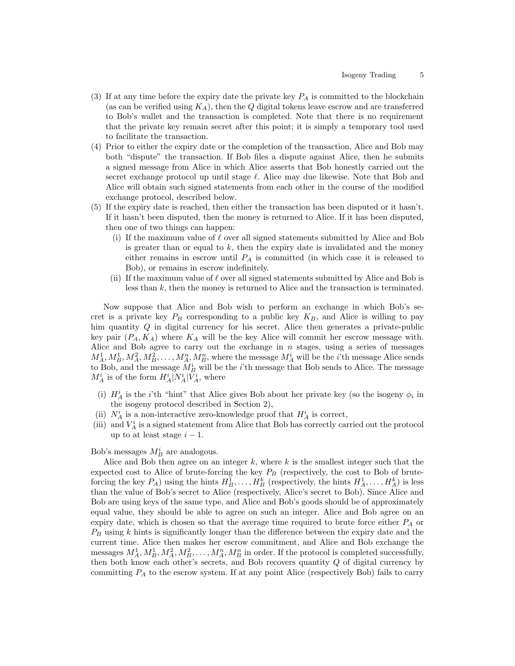- (3) If at any time before the expiry date the private key  $P_A$  is committed to the blockchain (as can be verified using  $K_A$ ), then the Q digital tokens leave escrow and are transferred to Bob's wallet and the transaction is completed. Note that there is no requirement that the private key remain secret after this point; it is simply a temporary tool used to facilitate the transaction.
- (4) Prior to either the expiry date or the completion of the transaction, Alice and Bob may both "dispute" the transaction. If Bob files a dispute against Alice, then he submits a signed message from Alice in which Alice asserts that Bob honestly carried out the secret exchange protocol up until stage  $\ell$ . Alice may due likewise. Note that Bob and Alice will obtain such signed statements from each other in the course of the modified exchange protocol, described below.
- (5) If the expiry date is reached, then either the transaction has been disputed or it hasn't. If it hasn't been disputed, then the money is returned to Alice. If it has been disputed, then one of two things can happen:
	- (i) If the maximum value of  $\ell$  over all signed statements submitted by Alice and Bob is greater than or equal to  $k$ , then the expiry date is invalidated and the money either remains in escrow until  $P_A$  is committed (in which case it is released to Bob), or remains in escrow indefinitely.
	- (ii) If the maximum value of  $\ell$  over all signed statements submitted by Alice and Bob is less than  $k$ , then the money is returned to Alice and the transaction is terminated.

Now suppose that Alice and Bob wish to perform an exchange in which Bob's secret is a private key  $P_B$  corresponding to a public key  $K_B$ , and Alice is willing to pay him quantity Q in digital currency for his secret. Alice then generates a private-public key pair  $(P_A, K_A)$  where  $K_A$  will be the key Alice will commit her escrow message with. Alice and Bob agree to carry out the exchange in  $n$  stages, using a series of messages  $M_A^1, M_B^1, M_A^2, M_B^2, \ldots, M_A^n, M_B^n$ , where the message  $M_A^i$  will be the *i*'th message Alice sends to Bob, and the message  $M_B^i$  will be the *i*'th message that Bob sends to Alice. The message  $M_A^i$  is of the form  $H_A^i|N_A^i|V_A^i$ , where

- (i)  $H_A^i$  is the *i*'th "hint" that Alice gives Bob about her private key (so the isogeny  $\phi_i$  in the isogeny protocol described in Section 2),
- (ii)  $N_A^i$  is a non-interactive zero-knowledge proof that  $H_A^i$  is correct,
- (iii) and  $V_A^i$  is a signed statement from Alice that Bob has correctly carried out the protocol up to at least stage  $i - 1$ .

# Bob's messages  $M_B^i$  are analogous.

Alice and Bob then agree on an integer  $k$ , where  $k$  is the smallest integer such that the expected cost to Alice of brute-forcing the key  $P_B$  (respectively, the cost to Bob of bruteforcing the key  $P_A$ ) using the hints  $H_B^1, \ldots, H_B^k$  (respectively, the hints  $H_A^1, \ldots, H_A^k$ ) is less than the value of Bob's secret to Alice (respectively, Alice's secret to Bob). Since Alice and Bob are using keys of the same type, and Alice and Bob's goods should be of approximately equal value, they should be able to agree on such an integer. Alice and Bob agree on an expiry date, which is chosen so that the average time required to brute force either  $P_A$  or  $P_B$  using k hints is significantly longer than the difference between the expiry date and the current time. Alice then makes her escrow commitment, and Alice and Bob exchange the messages  $M_A^1, M_B^1, M_A^2, M_B^2, \ldots, M_A^n, M_B^n$  in order. If the protocol is completed successfully, then both know each other's secrets, and Bob recovers quantity  $Q$  of digital currency by committing  $P_A$  to the escrow system. If at any point Alice (respectively Bob) fails to carry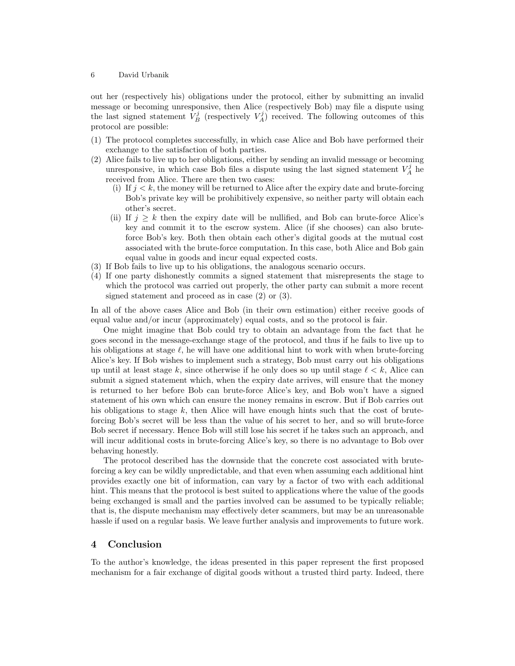#### 6 David Urbanik

out her (respectively his) obligations under the protocol, either by submitting an invalid message or becoming unresponsive, then Alice (respectively Bob) may file a dispute using the last signed statement  $V_B^j$  (respectively  $V_A^j$ ) received. The following outcomes of this protocol are possible:

- (1) The protocol completes successfully, in which case Alice and Bob have performed their exchange to the satisfaction of both parties.
- (2) Alice fails to live up to her obligations, either by sending an invalid message or becoming unresponsive, in which case Bob files a dispute using the last signed statement  $V_A^j$  he received from Alice. There are then two cases:
	- (i) If  $j < k$ , the money will be returned to Alice after the expiry date and brute-forcing Bob's private key will be prohibitively expensive, so neither party will obtain each other's secret.
	- (ii) If  $j \geq k$  then the expiry date will be nullified, and Bob can brute-force Alice's key and commit it to the escrow system. Alice (if she chooses) can also bruteforce Bob's key. Both then obtain each other's digital goods at the mutual cost associated with the brute-force computation. In this case, both Alice and Bob gain equal value in goods and incur equal expected costs.
- (3) If Bob fails to live up to his obligations, the analogous scenario occurs.
- (4) If one party dishonestly commits a signed statement that misrepresents the stage to which the protocol was carried out properly, the other party can submit a more recent signed statement and proceed as in case (2) or (3).

In all of the above cases Alice and Bob (in their own estimation) either receive goods of equal value and/or incur (approximately) equal costs, and so the protocol is fair.

One might imagine that Bob could try to obtain an advantage from the fact that he goes second in the message-exchange stage of the protocol, and thus if he fails to live up to his obligations at stage  $\ell$ , he will have one additional hint to work with when brute-forcing Alice's key. If Bob wishes to implement such a strategy, Bob must carry out his obligations up until at least stage k, since otherwise if he only does so up until stage  $\ell < k$ , Alice can submit a signed statement which, when the expiry date arrives, will ensure that the money is returned to her before Bob can brute-force Alice's key, and Bob won't have a signed statement of his own which can ensure the money remains in escrow. But if Bob carries out his obligations to stage  $k$ , then Alice will have enough hints such that the cost of bruteforcing Bob's secret will be less than the value of his secret to her, and so will brute-force Bob secret if necessary. Hence Bob will still lose his secret if he takes such an approach, and will incur additional costs in brute-forcing Alice's key, so there is no advantage to Bob over behaving honestly.

The protocol described has the downside that the concrete cost associated with bruteforcing a key can be wildly unpredictable, and that even when assuming each additional hint provides exactly one bit of information, can vary by a factor of two with each additional hint. This means that the protocol is best suited to applications where the value of the goods being exchanged is small and the parties involved can be assumed to be typically reliable; that is, the dispute mechanism may effectively deter scammers, but may be an unreasonable hassle if used on a regular basis. We leave further analysis and improvements to future work.

### 4 Conclusion

To the author's knowledge, the ideas presented in this paper represent the first proposed mechanism for a fair exchange of digital goods without a trusted third party. Indeed, there